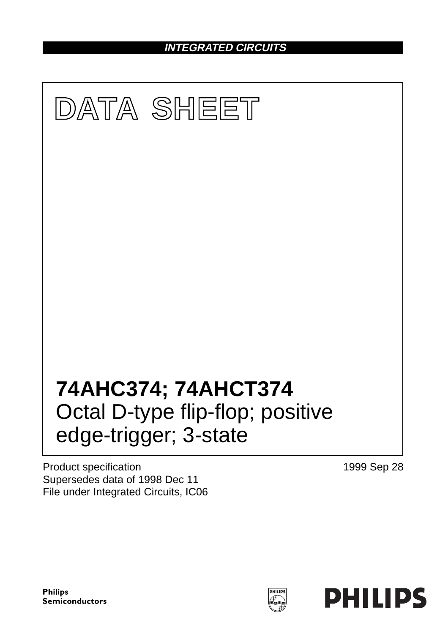**INTEGRATED CIRCUITS**



Product specification Supersedes data of 1998 Dec 11 File under Integrated Circuits, IC06 1999 Sep 28

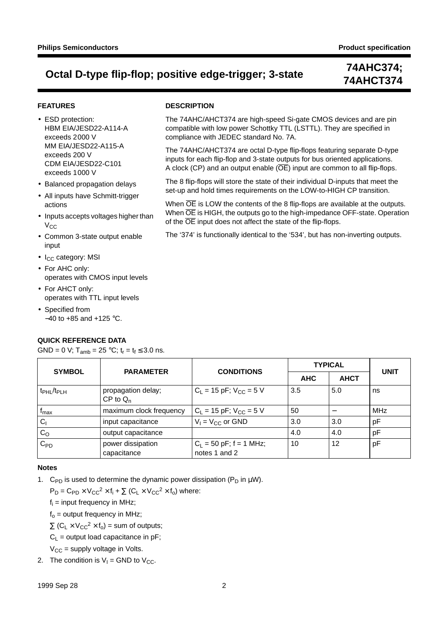**DESCRIPTION**

compliance with JEDEC standard No. 7A.

of the  $\overline{OE}$  input does not affect the state of the flip-flops.

The 74AHC/AHCT374 are high-speed Si-gate CMOS devices and are pin compatible with low power Schottky TTL (LSTTL). They are specified in

The 74AHC/AHCT374 are octal D-type flip-flops featuring separate D-type inputs for each flip-flop and 3-state outputs for bus oriented applications. A clock (CP) and an output enable  $(\overline{OE})$  input are common to all flip-flops. The 8 flip-flops will store the state of their individual D-inputs that meet the set-up and hold times requirements on the LOW-to-HIGH CP transition. When  $\overline{OE}$  is LOW the contents of the 8 flip-flops are available at the outputs. When  $\overline{OE}$  is HIGH, the outputs go to the high-impedance OFF-state. Operation

The '374' is functionally identical to the '534', but has non-inverting outputs.

# **74AHCT374**

### **FEATURES**

• ESD protection: HBM EIA/JESD22-A114-A exceeds 2000 V MM EIA/JESD22-A115-A exceeds 200 V CDM EIA/JESD22-C101 exceeds 1000 V

- Balanced propagation delays
- All inputs have Schmitt-trigger actions
- Inputs accepts voltages higher than  $V_{CC}$
- Common 3-state output enable input
- $\bullet$  I<sub>CC</sub> category: MSI
- For AHC only: operates with CMOS input levels
- For AHCT only: operates with TTL input levels
- Specified from −40 to +85 and +125 °C.

### **QUICK REFERENCE DATA**

GND = 0 V;  $T_{amb}$  = 25 °C;  $t_r = t_f \le 3.0$  ns.

#### SYMBOL | PARAMETER | CONDITIONS **TYPICAL UNIT AHC AHCT**  $t_{PHI}/t_{PIH}$  | propagation delay;  $CP$  to  $Q_n$  $C_1 = 15 \text{ pF}; V_{\text{CC}} = 5 \text{ V}$   $\begin{vmatrix} 3.5 \\ 5.0 \\ 1 \end{vmatrix}$  ns  $f_{\text{max}}$  maximum clock frequency  $|C_L = 15 \text{ pF}; V_{\text{CC}} = 5 \text{ V}$   $|50$   $|-$  MHz  $C_1$  input capacitance  $|V_1 = V_{CC}$  or GND  $|3.0|$  3.0 pF CO output capacitance 4.0 4.0 pF  $C_{\text{PD}}$  power dissipation  $C_1 = 50$  pF; f = 1 MHz; 10 12 pF

notes 1 and 2

### **Notes**

1. C<sub>PD</sub> is used to determine the dynamic power dissipation (P<sub>D</sub> in  $\mu$ W).

 $P_D = C_{PD} \times V_{CC}^2 \times f_i + \sum (C_1 \times V_{CC}^2 \times f_0)$  where:

capacitance

 $f_i$  = input frequency in MHz;

 $f<sub>o</sub>$  = output frequency in MHz;

 $\Sigma$  (C<sub>L</sub> × V<sub>CC</sub><sup>2</sup> × f<sub>o</sub>) = sum of outputs;

 $C_L$  = output load capacitance in pF;

 $V_{CC}$  = supply voltage in Volts.

2. The condition is  $V_1$  = GND to  $V_{CC}$ .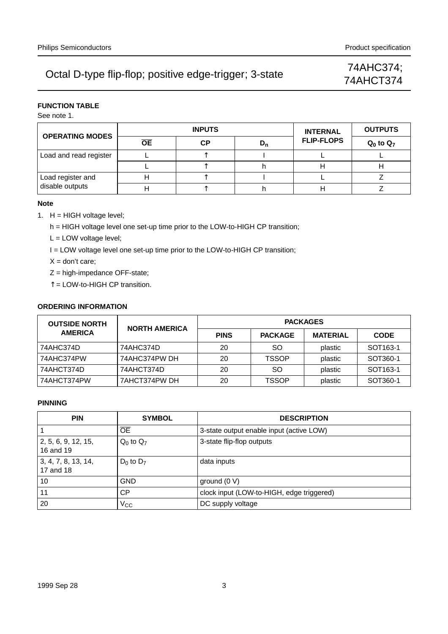# 74AHCT374

### **FUNCTION TABLE**

See note 1.

|                        |           | <b>INPUTS</b> | <b>INTERNAL</b> | <b>OUTPUTS</b>    |                |
|------------------------|-----------|---------------|-----------------|-------------------|----------------|
| <b>OPERATING MODES</b> | <b>OE</b> | СP            | $D_n$           | <b>FLIP-FLOPS</b> | $Q_0$ to $Q_7$ |
| Load and read register |           |               |                 |                   |                |
|                        |           |               |                 |                   |                |
| Load register and      |           |               |                 |                   |                |
| disable outputs        |           |               |                 |                   |                |

### **Note**

1.  $H = HIGH$  voltage level;

h = HIGH voltage level one set-up time prior to the LOW-to-HIGH CP transition;

L = LOW voltage level;

I = LOW voltage level one set-up time prior to the LOW-to-HIGH CP transition;

- $X =$  don't care;
- Z = high-impedance OFF-state;
- ↑ = LOW-to-HIGH CP transition.

### **ORDERING INFORMATION**

| <b>OUTSIDE NORTH</b> | <b>NORTH AMERICA</b> | <b>PACKAGES</b> |                |                 |                      |  |  |  |  |  |
|----------------------|----------------------|-----------------|----------------|-----------------|----------------------|--|--|--|--|--|
| <b>AMERICA</b>       |                      | <b>PINS</b>     | <b>PACKAGE</b> | <b>MATERIAL</b> | <b>CODE</b>          |  |  |  |  |  |
| 74AHC374D            | 74AHC374D            | 20              | SO.            | plastic         | SOT <sub>163-1</sub> |  |  |  |  |  |
| 74AHC374PW           | 74AHC374PW DH        | 20              | <b>TSSOP</b>   | plastic         | SOT360-1             |  |  |  |  |  |
| 74AHCT374D           | 74AHCT374D           | 20              | SO.            | plastic         | SOT <sub>163-1</sub> |  |  |  |  |  |
| 74AHCT374PW          | 7AHCT374PW DH        | 20              | <b>TSSOP</b>   | plastic         | SOT360-1             |  |  |  |  |  |

### **PINNING**

| <b>PIN</b>                       | <b>SYMBOL</b>  | <b>DESCRIPTION</b>                        |
|----------------------------------|----------------|-------------------------------------------|
|                                  | <b>OE</b>      | 3-state output enable input (active LOW)  |
| 2, 5, 6, 9, 12, 15,<br>16 and 19 | $Q_0$ to $Q_7$ | 3-state flip-flop outputs                 |
| 3, 4, 7, 8, 13, 14,<br>17 and 18 | $D_0$ to $D_7$ | data inputs                               |
| 10                               | <b>GND</b>     | ground $(0 V)$                            |
| 11                               | СP             | clock input (LOW-to-HIGH, edge triggered) |
| 20                               | $V_{\rm CC}$   | DC supply voltage                         |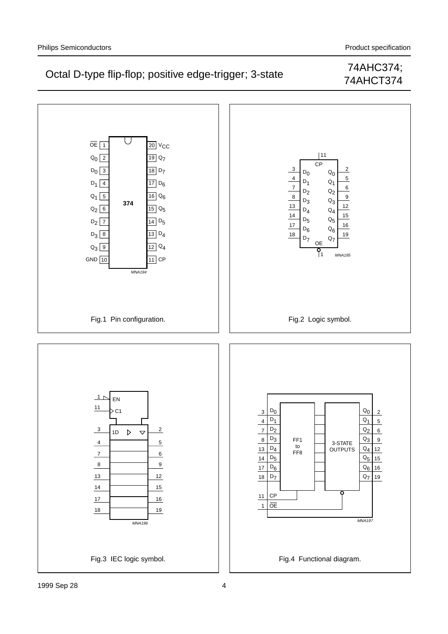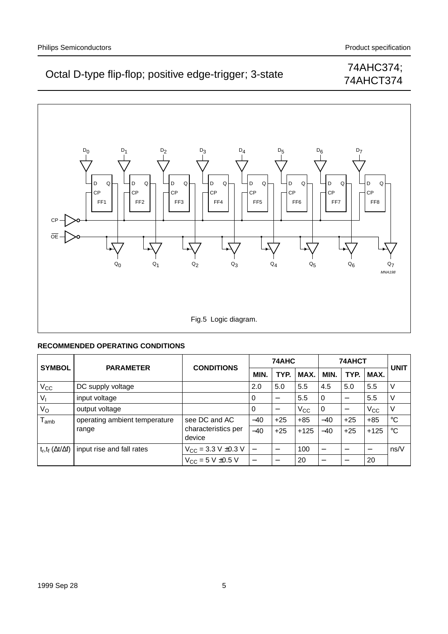# 74AHCT374



### **RECOMMENDED OPERATING CONDITIONS**

| <b>SYMBOL</b>                  | <b>PARAMETER</b>              | <b>CONDITIONS</b>                                 | 74AHC                    |                 |              | 74AHCT                   | <b>UNIT</b>                      |              |             |
|--------------------------------|-------------------------------|---------------------------------------------------|--------------------------|-----------------|--------------|--------------------------|----------------------------------|--------------|-------------|
|                                |                               |                                                   | <b>MIN</b>               | TYP.            | MAX.         | MIN.                     | TYP.                             | MAX.         |             |
| V <sub>CC</sub>                | DC supply voltage             |                                                   | 2.0                      | 5.0             | 5.5          | 4.5                      | 5.0                              | 5.5          | V           |
| $V_{1}$                        | input voltage                 |                                                   | 0                        | $\qquad \qquad$ | 5.5          | 0                        | $\overbrace{\phantom{12322111}}$ | 5.5          |             |
| $V_{\rm O}$                    | output voltage                |                                                   | 0                        |                 | $V_{\rm CC}$ | 0                        |                                  | $V_{\rm CC}$ | ν           |
| $I_{amb}$                      | operating ambient temperature | see DC and AC                                     | $-40$                    | $+25$           | $+85$        | $-40$                    | $+25$                            | $+85$        | $^{\circ}C$ |
|                                | range                         | characteristics per<br>device                     | $-40$                    | $+25$           | $+125$       | $-40$                    | $+25$                            | $+125$       | $^{\circ}C$ |
| $t_r, t_f (\Delta t/\Delta f)$ | input rise and fall rates     | $V_{\text{CC}} = 3.3 \text{ V} \pm 0.3 \text{ V}$ | $\overline{\phantom{0}}$ |                 | 100          | $\overline{\phantom{0}}$ |                                  |              | ns/V        |
|                                |                               | $V_{CC}$ = 5 V $\pm$ 0.5 V                        |                          | $\qquad \qquad$ | 20           |                          |                                  | -20          |             |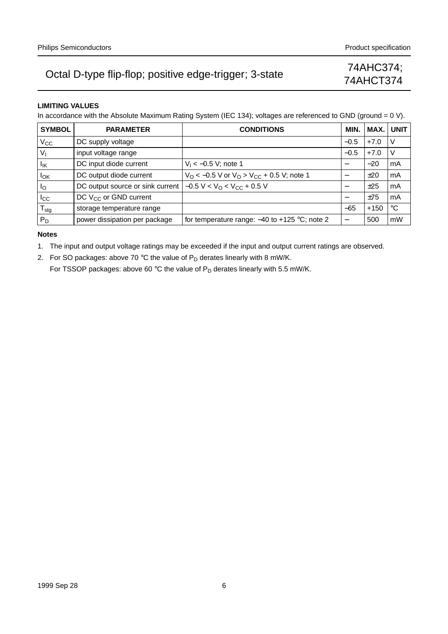# 74AHCT374

### **LIMITING VALUES**

In accordance with the Absolute Maximum Rating System (IEC 134); voltages are referenced to GND (ground = 0 V).

| <b>SYMBOL</b>             | <b>PARAMETER</b>                  | <b>CONDITIONS</b>                                  | MIN.                     | MAX.   | <b>UNIT</b> |
|---------------------------|-----------------------------------|----------------------------------------------------|--------------------------|--------|-------------|
| $V_{\rm CC}$              | DC supply voltage                 |                                                    | $-0.5$                   | $+7.0$ | ν           |
| $V_{I}$                   | input voltage range               |                                                    | $-0.5$                   | $+7.0$ | V           |
| Ιıκ                       | DC input diode current            | $V_1 < -0.5 V$ ; note 1                            |                          | $-20$  | mA          |
| $I_{OK}$                  | DC output diode current           | $V_O$ < -0.5 V or $V_O$ > $V_{CC}$ + 0.5 V; note 1 |                          | ±20    | mA          |
| $I_{\rm O}$               | DC output source or sink current  | $-0.5 V < VO < VCC + 0.5 V$                        |                          | ±25    | mA          |
| $_{\rm{lcc}}$             | DC V <sub>CC</sub> or GND current |                                                    |                          | ±75    | mA          |
| $\mathsf{T}_{\text{stg}}$ | storage temperature range         |                                                    | $-65$                    | $+150$ | °C          |
| $P_D$                     | power dissipation per package     | for temperature range: $-40$ to $+125$ °C; note 2  | $\overline{\phantom{0}}$ | 500    | mW          |

#### **Notes**

1. The input and output voltage ratings may be exceeded if the input and output current ratings are observed.

2. For SO packages: above 70 °C the value of  $P_D$  derates linearly with 8 mW/K.

For TSSOP packages: above 60 °C the value of  $P_D$  derates linearly with 5.5 mW/K.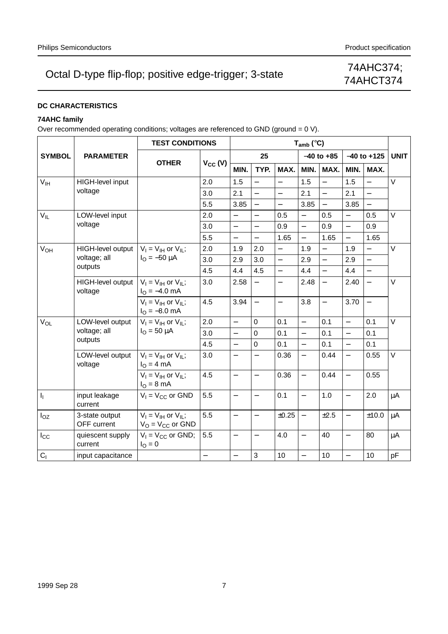# 74AHCT374

### **DC CHARACTERISTICS**

### **74AHC family**

Over recommended operating conditions; voltages are referenced to GND (ground = 0 V).

|                 |                               | <b>TEST CONDITIONS</b>                                           |              |                          |                          |                          | $T_{amb}$ (°C)           |                          |                          |                          |             |
|-----------------|-------------------------------|------------------------------------------------------------------|--------------|--------------------------|--------------------------|--------------------------|--------------------------|--------------------------|--------------------------|--------------------------|-------------|
| <b>SYMBOL</b>   | <b>PARAMETER</b>              |                                                                  |              |                          | 25                       |                          |                          | $-40$ to $+85$           |                          | $-40$ to $+125$          | <b>UNIT</b> |
|                 |                               | <b>OTHER</b>                                                     | $V_{CC} (V)$ | MIN.                     | TYP.                     | MAX.                     | MIN.                     | MAX.                     | MIN.                     | MAX.                     |             |
| V <sub>IH</sub> | HIGH-level input              |                                                                  | 2.0          | 1.5                      |                          | $\overline{\phantom{0}}$ | 1.5                      |                          | 1.5                      |                          | $\vee$      |
|                 | voltage                       |                                                                  | 3.0          | 2.1                      | $\equiv$                 |                          | 2.1                      | $\equiv$                 | 2.1                      | $\overline{\phantom{0}}$ |             |
|                 |                               | 5.5                                                              | 3.85         |                          | $\overline{\phantom{0}}$ | 3.85                     | $\equiv$                 | 3.85                     | $\frac{1}{2}$            |                          |             |
| $V_{IL}$        | LOW-level input               |                                                                  | 2.0          | $\overline{\phantom{0}}$ | $\equiv$                 | 0.5                      | $\overline{\phantom{0}}$ | 0.5                      | $\overline{\phantom{0}}$ | 0.5                      | $\vee$      |
|                 | voltage                       |                                                                  | 3.0          | $\qquad \qquad -$        |                          | 0.9                      | $\overline{a}$           | 0.9                      | $\overline{a}$           | 0.9                      |             |
|                 |                               |                                                                  | 5.5          | $\equiv$                 | $\equiv$                 | 1.65                     | $\equiv$                 | 1.65                     | $\overline{\phantom{0}}$ | 1.65                     |             |
| $V_{OH}$        | HIGH-level output             | $V_1 = V_{1H}$ or $V_{1I}$ ;                                     | 2.0          | 1.9                      | 2.0                      | $\equiv$                 | 1.9                      | $\equiv$                 | 1.9                      | $\equiv$                 | $\vee$      |
|                 | voltage; all                  | $I_{\Omega} = -50 \mu A$                                         | 3.0          | 2.9                      | 3.0                      | $\overline{a}$           | 2.9                      | $\overline{\phantom{0}}$ | 2.9                      | $\overline{\phantom{0}}$ |             |
| outputs         |                               | 4.5                                                              | 4.4          | 4.5                      | $\overline{a}$           | 4.4                      | $\equiv$                 | 4.4                      | $\overline{\phantom{0}}$ |                          |             |
|                 | HIGH-level output<br>voltage  | $V_1 = V_{1H}$ or $V_{1L}$ ;<br>$IO = -4.0$ mA                   | 3.0          | 2.58                     | $\equiv$                 | $\overline{\phantom{0}}$ | 2.48                     | $\overline{\phantom{0}}$ | 2.40                     | $\overline{\phantom{0}}$ | $\vee$      |
|                 |                               | $V_I = V_{IH}$ or $V_{IL}$ ;<br>$I_{\text{O}} = -8.0 \text{ mA}$ | 4.5          | 3.94                     | $\qquad \qquad -$        | $\qquad \qquad -$        | 3.8                      | $\qquad \qquad -$        | 3.70                     | $\qquad \qquad -$        |             |
| $V_{OL}$        | LOW-level output              | $V_I = V_{IH}$ or $V_{IL}$ ;<br>$I_{\rm O} = 50 \mu A$           | 2.0          | $\overline{a}$           | 0                        | 0.1                      | $\overline{a}$           | 0.1                      | $\overline{\phantom{0}}$ | 0.1                      | $\vee$      |
|                 | voltage; all                  |                                                                  | 3.0          | $\equiv$                 | $\Omega$                 | 0.1                      | $\overline{\phantom{0}}$ | 0.1                      | $\overline{a}$           | 0.1                      |             |
|                 | outputs                       |                                                                  | 4.5          | $\equiv$                 | $\Omega$                 | 0.1                      | $\overline{\phantom{0}}$ | 0.1                      | $\overline{\phantom{0}}$ | 0.1                      |             |
|                 | LOW-level output<br>voltage   | $V_I = V_{IH}$ or $V_{IL}$ ;<br>$IO = 4 mA$                      | 3.0          | $\overline{\phantom{0}}$ |                          | 0.36                     | $\overline{a}$           | 0.44                     | $\overline{\phantom{0}}$ | 0.55                     | $\vee$      |
|                 |                               | $V_I = V_{IH}$ or $V_{IL}$ ;<br>$IO = 8 mA$                      | 4.5          | $\overline{\phantom{0}}$ | $\equiv$                 | 0.36                     | $\overline{\phantom{0}}$ | 0.44                     | $\overline{\phantom{0}}$ | 0.55                     |             |
| $I_{\rm L}$     | input leakage<br>current      | $V_1 = V_{CC}$ or GND                                            | 5.5          | $\overline{\phantom{0}}$ |                          | 0.1                      | $\equiv$                 | 1.0                      | $\qquad \qquad -$        | 2.0                      | $\mu$ A     |
| $I_{OZ}$        | 3-state output<br>OFF current | $V_1 = V_{1H}$ or $V_{1L}$ ;<br>$V_O = V_{CC}$ or GND            | 5.5          | $\equiv$                 | $\equiv$                 | ±0.25                    | $\overline{\phantom{0}}$ | ±2.5                     | $\overline{\phantom{0}}$ | ±10.0                    | $\mu$ A     |
| $I_{\rm CC}$    | quiescent supply<br>current   | $V_1 = V_{CC}$ or GND;<br>$I_{\rm O} = 0$                        | 5.5          | $\qquad \qquad -$        | $\qquad \qquad -$        | 4.0                      | $\overline{\phantom{0}}$ | 40                       | $\qquad \qquad -$        | 80                       | μA          |
| C <sub>1</sub>  | input capacitance             |                                                                  |              | $\overline{\phantom{0}}$ | 3                        | 10                       | $\overline{a}$           | 10                       | $\qquad \qquad -$        | 10                       | pF          |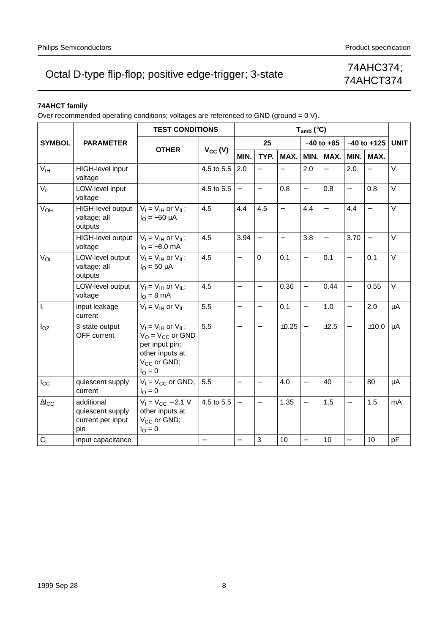## 74AHCT374

### **74AHCT family**

Over recommended operating conditions; voltages are referenced to GND (ground = 0 V).

|                 |                                                            |                                                                                                                                 | <b>TEST CONDITIONS</b>   |                          |                          |                          | $T_{amb}$ (°C)           |                          |                          |                          |             |  |  |  |
|-----------------|------------------------------------------------------------|---------------------------------------------------------------------------------------------------------------------------------|--------------------------|--------------------------|--------------------------|--------------------------|--------------------------|--------------------------|--------------------------|--------------------------|-------------|--|--|--|
| <b>SYMBOL</b>   | <b>PARAMETER</b>                                           |                                                                                                                                 |                          |                          | 25                       |                          |                          | $-40$ to $+85$           | $-40$ to $+125$          |                          | <b>UNIT</b> |  |  |  |
|                 |                                                            | <b>OTHER</b>                                                                                                                    | $V_{CC} (V)$             | MIN.                     | TYP.                     | MAX.                     | MIN.                     | MAX.                     | MIN.                     | MAX.                     |             |  |  |  |
| V <sub>IH</sub> | HIGH-level input<br>voltage                                |                                                                                                                                 | 4.5 to 5.5               | 2.0                      | $\overline{\phantom{0}}$ |                          | 2.0                      | $\overline{\phantom{0}}$ | 2.0                      | $\overline{\phantom{0}}$ | V           |  |  |  |
| $V_{IL}$        | LOW-level input<br>voltage                                 |                                                                                                                                 | 4.5 to 5.5               | $\overline{\phantom{m}}$ | $\equiv$                 | 0.8                      | $\overline{\phantom{0}}$ | 0.8                      | $\equiv$                 | 0.8                      | $\vee$      |  |  |  |
| V <sub>OH</sub> | HIGH-level output<br>voltage; all<br>outputs               | $V_1 = V_{IH}$ or $V_{IL}$ ;<br>$I_{\Omega} = -50 \mu A$                                                                        | 4.5                      | 4.4                      | 4.5                      | $\overline{\phantom{0}}$ | 4.4                      | $\overline{\phantom{0}}$ | 4.4                      | $\overline{\phantom{0}}$ | $\vee$      |  |  |  |
|                 | HIGH-level output<br>voltage                               | $V_I = V_{IH}$ or $V_{IL}$ ;<br>$I_{\Omega} = -8.0$ mA                                                                          | 4.5                      | 3.94                     | $\equiv$                 | $\overline{\phantom{0}}$ | 3.8                      | $\overline{\phantom{0}}$ | 3.70                     | $\overline{\phantom{0}}$ | $\vee$      |  |  |  |
| VOL             | LOW-level output<br>voltage; all<br>outputs                | $V_1 = V_{1H}$ or $V_{1L}$ ;<br>$I_{\text{O}} = 50 \mu A$                                                                       | 4.5                      | $\overline{\phantom{0}}$ | $\overline{0}$           | 0.1                      | $\overline{\phantom{0}}$ | 0.1                      | $\overline{\phantom{0}}$ | 0.1                      | $\vee$      |  |  |  |
|                 | LOW-level output<br>voltage                                | $V_I = V_{IH}$ or $V_{IL}$ ;<br>$I_{\rm O} = 8 \text{ mA}$                                                                      | 4.5                      | $\qquad \qquad -$        | $\overline{\phantom{0}}$ | 0.36                     | $\overline{\phantom{0}}$ | 0.44                     | $\equiv$                 | 0.55                     | $\vee$      |  |  |  |
| I <sub>I</sub>  | input leakage<br>current                                   | $V_I = V_{IH}$ or $V_{IL}$                                                                                                      | 5.5                      | $\qquad \qquad -$        | $\overline{\phantom{0}}$ | 0.1                      | $\overline{\phantom{0}}$ | 1.0                      | $\overline{\phantom{0}}$ | 2.0                      | μA          |  |  |  |
| $I_{OZ}$        | 3-state output<br>OFF current                              | $V_1 = V_{1H}$ or $V_{1L}$ ;<br>$V_O = V_{CC}$ or GND<br>per input pin;<br>other inputs at<br>$V_{CC}$ or GND;<br>$I_{\rm O}=0$ | 5.5                      | $\overline{\phantom{0}}$ | $\overline{\phantom{0}}$ | ±0.25                    | $\equiv$                 | ±2.5                     | $\equiv$                 | ±10.0                    | $\mu$ A     |  |  |  |
| $I_{\rm CC}$    | quiescent supply<br>current                                | $V_1 = V_{CC}$ or GND;<br>$I_{\rm O} = 0$                                                                                       | 5.5                      | $\overline{\phantom{0}}$ | $\overline{\phantom{0}}$ | 4.0                      | $\overline{\phantom{0}}$ | 40                       | $\overline{\phantom{0}}$ | 80                       | μA          |  |  |  |
| $\Delta I_{CC}$ | additional<br>quiescent supply<br>current per input<br>pin | $V_1 = V_{CC} - 2.1 V$<br>other inputs at<br>V <sub>CC</sub> or GND;<br>$I_{\rm O} = 0$                                         | 4.5 to 5.5               | $\equiv$                 | $\overline{\phantom{0}}$ | 1.35                     | $\equiv$                 | 1.5                      | $\overline{\phantom{0}}$ | 1.5                      | mA          |  |  |  |
| C <sub>1</sub>  | input capacitance                                          |                                                                                                                                 | $\overline{\phantom{0}}$ | $\overline{\phantom{0}}$ | 3                        | 10                       | $\overline{\phantom{0}}$ | 10                       | $\overline{\phantom{0}}$ | 10                       | pF          |  |  |  |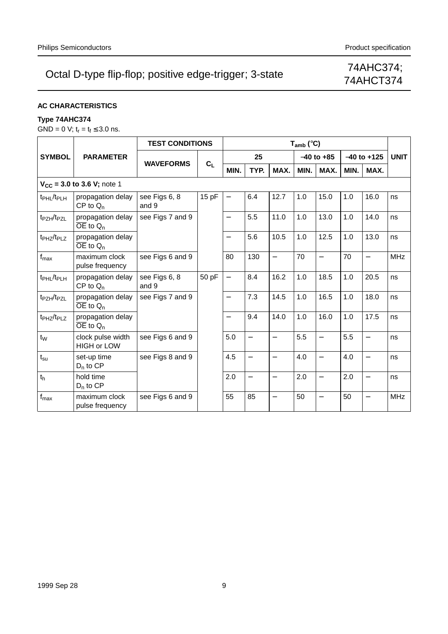# 74AHCT374

### **AC CHARACTERISTICS**

### **Type 74AHC374**

 $GND = 0$  V;  $t_r = t_f \leq 3.0$  ns.

|                                    |                                               | <b>TEST CONDITIONS</b> |       |                          |                          |                          | $T_{amb}$ (°C) |                          |                 |                          |             |
|------------------------------------|-----------------------------------------------|------------------------|-------|--------------------------|--------------------------|--------------------------|----------------|--------------------------|-----------------|--------------------------|-------------|
| <b>SYMBOL</b>                      | <b>PARAMETER</b>                              |                        |       |                          | 25                       |                          |                | $-40$ to $+85$           | $-40$ to $+125$ |                          | <b>UNIT</b> |
|                                    |                                               | <b>WAVEFORMS</b>       | $C_L$ | MIN.                     | TYP.                     | MAX.                     | MIN.           | MAX.                     | MIN.            | MAX.                     |             |
|                                    | $V_{CC}$ = 3.0 to 3.6 V; note 1               |                        |       |                          |                          |                          |                |                          |                 |                          |             |
| t <sub>PHL</sub> /t <sub>PLH</sub> | propagation delay<br>$CP$ to $Q_n$            | see Figs 6, 8<br>and 9 | 15pF  | $\qquad \qquad -$        | 6.4                      | 12.7                     | 1.0            | 15.0                     | 1.0             | 16.0                     | ns          |
| t <sub>PZH</sub> /t <sub>PZL</sub> | propagation delay<br>$\overline{OE}$ to $Q_n$ | see Figs 7 and 9       |       | $\qquad \qquad -$        | 5.5                      | 11.0                     | 1.0            | 13.0                     | 1.0             | 14.0                     | ns          |
| t <sub>PHZ</sub> /t <sub>PLZ</sub> | propagation delay<br>$\overline{OE}$ to $Q_n$ |                        |       | $\overline{\phantom{0}}$ | 5.6                      | 10.5                     | 1.0            | 12.5                     | 1.0             | 13.0                     | ns          |
| $f_{\text{max}}$                   | maximum clock<br>pulse frequency              | see Figs 6 and 9       |       | 80                       | 130                      | $\overline{a}$           | 70             | $\overline{\phantom{0}}$ | 70              | $\overline{\phantom{0}}$ | <b>MHz</b>  |
| t <sub>PHL</sub> /t <sub>PLH</sub> | propagation delay<br>$CP$ to $Q_n$            | see Figs 6, 8<br>and 9 | 50 pF | $\overline{\phantom{0}}$ | 8.4                      | 16.2                     | 1.0            | 18.5                     | 1.0             | 20.5                     | ns          |
| t <sub>PZH</sub> /t <sub>PZL</sub> | propagation delay<br>$\overline{OE}$ to $Q_n$ | see Figs 7 and 9       |       | $\qquad \qquad -$        | 7.3                      | 14.5                     | 1.0            | 16.5                     | 1.0             | 18.0                     | ns          |
| t <sub>PHZ</sub> /t <sub>PLZ</sub> | propagation delay<br>$\overline{OE}$ to $Q_n$ |                        |       | $\qquad \qquad -$        | 9.4                      | 14.0                     | 1.0            | 16.0                     | 1.0             | 17.5                     | ns          |
| $t_{W}$                            | clock pulse width<br><b>HIGH or LOW</b>       | see Figs 6 and 9       |       | 5.0                      | $\overline{\phantom{0}}$ |                          | 5.5            | $\overline{\phantom{0}}$ | 5.5             | $\overline{\phantom{0}}$ | ns          |
| $t_{\rm su}$                       | set-up time<br>$D_n$ to $CP$                  | see Figs 8 and 9       |       | 4.5                      | $\overline{\phantom{0}}$ | $\overline{\phantom{0}}$ | 4.0            | $\overline{\phantom{0}}$ | 4.0             | $\overline{\phantom{0}}$ | ns          |
| t <sub>h</sub>                     | hold time<br>$D_n$ to $CP$                    |                        |       | 2.0                      | $\overline{\phantom{0}}$ | $\overline{\phantom{0}}$ | 2.0            | $\overline{\phantom{0}}$ | 2.0             | $\overline{\phantom{0}}$ | ns          |
| $f_{\text{max}}$                   | maximum clock<br>pulse frequency              | see Figs 6 and 9       |       | 55                       | 85                       |                          | 50             | $\overline{\phantom{0}}$ | 50              | $\overline{\phantom{0}}$ | <b>MHz</b>  |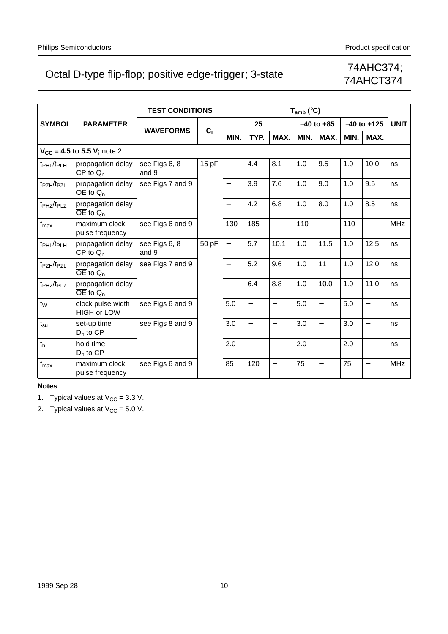# 74AHCT374

|                                    |                                               | <b>TEST CONDITIONS</b> |       |                          |                          |                          | $T_{amb}$ (°C) |                          |      |                          |            |
|------------------------------------|-----------------------------------------------|------------------------|-------|--------------------------|--------------------------|--------------------------|----------------|--------------------------|------|--------------------------|------------|
| <b>SYMBOL</b>                      | <b>PARAMETER</b>                              |                        |       |                          | 25                       |                          |                | $-40$ to $+85$           |      | $-40$ to $+125$          |            |
|                                    |                                               | <b>WAVEFORMS</b>       | $C_L$ | MIN.                     | TYP.                     | MAX.                     | MIN.           | MAX.                     | MIN. | MAX.                     |            |
|                                    | $V_{CC}$ = 4.5 to 5.5 V; note 2               |                        |       |                          |                          |                          |                |                          |      |                          |            |
| t <sub>PHL</sub> /t <sub>PLH</sub> | propagation delay<br>$CP$ to $Q_n$            | see Figs 6, 8<br>and 9 | 15 pF | $\overline{\phantom{0}}$ | 4.4                      | 8.1                      | 1.0            | 9.5                      | 1.0  | 10.0                     | ns         |
| t <sub>PZH</sub> /t <sub>PZL</sub> | propagation delay<br>$\overline{OE}$ to $Q_n$ | see Figs 7 and 9       |       | $\overline{\phantom{0}}$ | 3.9                      | 7.6                      | 1.0            | 9.0                      | 1.0  | 9.5                      | ns         |
| t <sub>PHZ</sub> /t <sub>PLZ</sub> | propagation delay<br>$\overline{OE}$ to $Q_n$ |                        |       | $\overline{\phantom{0}}$ | 4.2                      | 6.8                      | 1.0            | 8.0                      | 1.0  | 8.5                      | ns         |
| $f_{\text{max}}$                   | maximum clock<br>pulse frequency              | see Figs 6 and 9       |       | 130                      | 185                      | $\overline{\phantom{0}}$ | 110            | $\overline{\phantom{0}}$ | 110  | $\equiv$                 | <b>MHz</b> |
| t <sub>PHL</sub> /t <sub>PLH</sub> | propagation delay<br>$CP$ to $Q_n$            | see Figs 6, 8<br>and 9 | 50 pF | $\overline{\phantom{0}}$ | 5.7                      | 10.1                     | 1.0            | 11.5                     | 1.0  | 12.5                     | ns         |
| t <sub>PZH</sub> /t <sub>PZL</sub> | propagation delay<br>$\overline{OE}$ to $Q_n$ | see Figs 7 and 9       |       | $\overline{\phantom{0}}$ | 5.2                      | 9.6                      | 1.0            | 11                       | 1.0  | 12.0                     | ns         |
| t <sub>PHZ</sub> /t <sub>PLZ</sub> | propagation delay<br>$\overline{OE}$ to $Q_n$ |                        |       | $\overline{\phantom{0}}$ | 6.4                      | 8.8                      | 1.0            | 10.0                     | 1.0  | 11.0                     | ns         |
| $t_{W}$                            | clock pulse width<br><b>HIGH or LOW</b>       | see Figs 6 and 9       |       | 5.0                      | $\overline{\phantom{0}}$ | $\overline{\phantom{0}}$ | 5.0            | $\overline{\phantom{0}}$ | 5.0  | $\overline{\phantom{0}}$ | ns         |
| $t_{\rm su}$                       | set-up time<br>$D_n$ to $CP$                  | see Figs 8 and 9       |       | 3.0                      | $\equiv$                 | $\overline{\phantom{0}}$ | 3.0            | $\overline{\phantom{0}}$ | 3.0  | $\equiv$                 | ns         |
| $t_h$                              | hold time<br>$D_n$ to $CP$                    |                        |       | 2.0                      | $\overline{\phantom{0}}$ | $\overline{\phantom{0}}$ | 2.0            | $\overline{\phantom{0}}$ | 2.0  | $\overline{\phantom{0}}$ | ns         |
| $\mathsf{f}_{\mathsf{max}}$        | maximum clock<br>pulse frequency              | see Figs 6 and 9       |       | 85                       | 120                      | $\overline{\phantom{0}}$ | 75             | $\overline{\phantom{0}}$ | 75   | $\qquad \qquad -$        | <b>MHz</b> |

### **Notes**

1. Typical values at  $V_{CC} = 3.3$  V.

2. Typical values at  $V_{CC} = 5.0 V$ .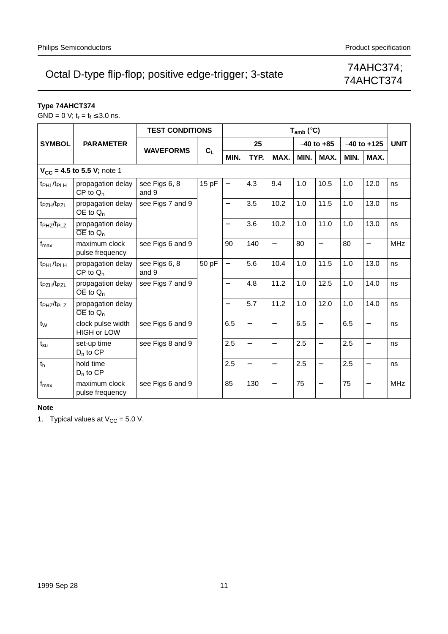# 74AHCT374

### **Type 74AHCT374**

 $GND = 0$  V;  $t_r = t_f \leq 3.0$  ns.

|                                    | <b>TEST CONDITIONS</b>                        |                        | $T_{amb}$ (°C) |                          |                          |                          |      |                          |                 |                          |             |
|------------------------------------|-----------------------------------------------|------------------------|----------------|--------------------------|--------------------------|--------------------------|------|--------------------------|-----------------|--------------------------|-------------|
| <b>SYMBOL</b>                      | <b>PARAMETER</b>                              | <b>WAVEFORMS</b>       | $C_L$          |                          | 25                       |                          |      | $-40$ to $+85$           | $-40$ to $+125$ |                          | <b>UNIT</b> |
|                                    |                                               |                        |                | MIN.                     | TYP.                     | MAX.                     | MIN. | MAX.                     | MIN.            | MAX.                     |             |
|                                    | $V_{CC}$ = 4.5 to 5.5 V; note 1               |                        |                |                          |                          |                          |      |                          |                 |                          |             |
| t <sub>PHL</sub> /t <sub>PLH</sub> | propagation delay<br>$CP$ to $Q_n$            | see Figs 6, 8<br>and 9 | 15 pF          | $\overline{\phantom{0}}$ | 4.3                      | 9.4                      | 1.0  | 10.5                     | 1.0             | 12.0                     | ns          |
| t <sub>PZH</sub> /t <sub>PZL</sub> | propagation delay<br>$\overline{OE}$ to $Q_n$ | see Figs 7 and 9       |                | $\overline{\phantom{0}}$ | 3.5                      | 10.2                     | 1.0  | 11.5                     | 1.0             | 13.0                     | ns          |
| t <sub>PHZ</sub> /t <sub>PLZ</sub> | propagation delay<br>$\overline{OE}$ to $Q_n$ |                        |                | $\overline{\phantom{0}}$ | 3.6                      | 10.2                     | 1.0  | 11.0                     | 1.0             | 13.0                     | ns          |
| $f_{\sf max}$                      | maximum clock<br>pulse frequency              | see Figs 6 and 9       |                | 90                       | 140                      | $\equiv$                 | 80   | $\overline{a}$           | 80              | $\overline{\phantom{0}}$ | <b>MHz</b>  |
| t <sub>PHL</sub> /t <sub>PLH</sub> | propagation delay<br>$CP$ to $Q_n$            | see Figs 6, 8<br>and 9 | 50 pF          | $\overline{\phantom{0}}$ | 5.6                      | 10.4                     | 1.0  | 11.5                     | 1.0             | 13.0                     | ns          |
| t <sub>PZH</sub> /t <sub>PZL</sub> | propagation delay<br>$\overline{OE}$ to $Q_n$ | see Figs 7 and 9       |                | $\overline{\phantom{0}}$ | 4.8                      | 11.2                     | 1.0  | 12.5                     | 1.0             | 14.0                     | ns          |
| t <sub>PHZ</sub> /t <sub>PLZ</sub> | propagation delay<br>$\overline{OE}$ to $Q_n$ |                        |                | $\overline{\phantom{0}}$ | 5.7                      | 11.2                     | 1.0  | 12.0                     | 1.0             | 14.0                     | ns          |
| $t_W$                              | clock pulse width<br><b>HIGH or LOW</b>       | see Figs 6 and 9       |                | 6.5                      | $\overline{\phantom{0}}$ | $\overline{\phantom{0}}$ | 6.5  | $\overline{\phantom{0}}$ | 6.5             | $\overline{\phantom{0}}$ | ns          |
| $t_{\rm su}$                       | set-up time<br>$D_n$ to $CP$                  | see Figs 8 and 9       |                | 2.5                      | $\overline{\phantom{0}}$ |                          | 2.5  | $\overline{\phantom{0}}$ | 2.5             |                          | ns          |
| t <sub>h</sub>                     | hold time<br>$D_n$ to $CP$                    |                        |                | 2.5                      | $\qquad \qquad -$        | $\overline{\phantom{0}}$ | 2.5  | $\qquad \qquad -$        | 2.5             | $\overline{\phantom{0}}$ | ns          |
| $f_{\text{max}}$                   | maximum clock<br>pulse frequency              | see Figs 6 and 9       |                | 85                       | 130                      | $\overline{\phantom{0}}$ | 75   |                          | 75              | $\overline{\phantom{0}}$ | <b>MHz</b>  |

#### **Note**

1. Typical values at  $V_{CC} = 5.0 V$ .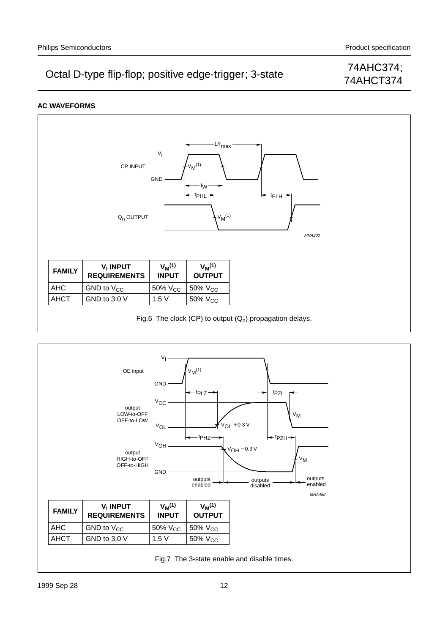## 74AHCT374

### **AC WAVEFORMS**



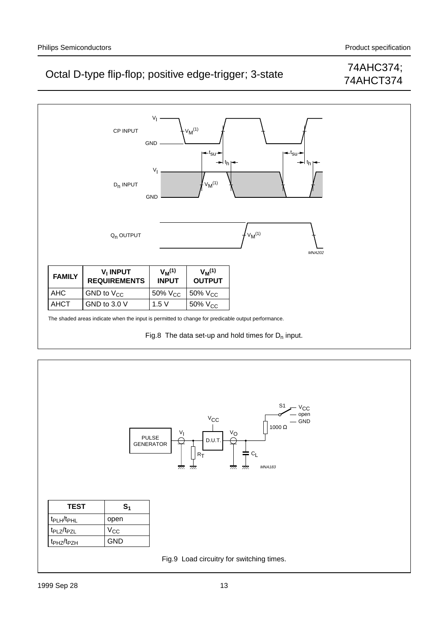# 74AHCT374





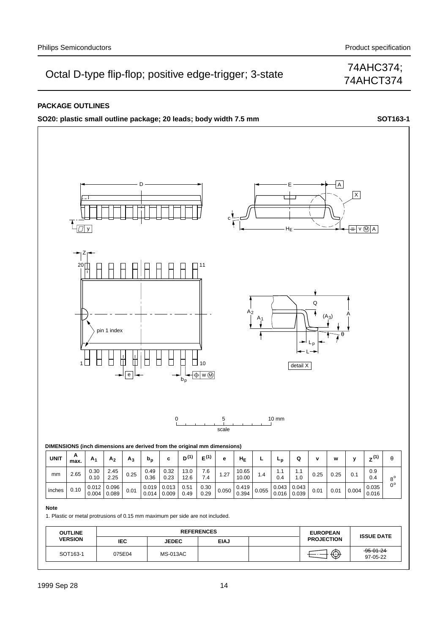## 74AHCT374

### **PACKAGE OUTLINES**

**SO20: plastic small outline package; 20 leads; body width 7.5 mm <b>SOT163-1** SOT163-1

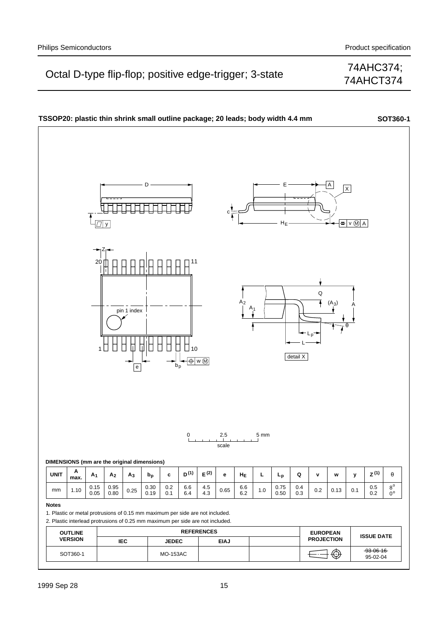## 74AHCT374

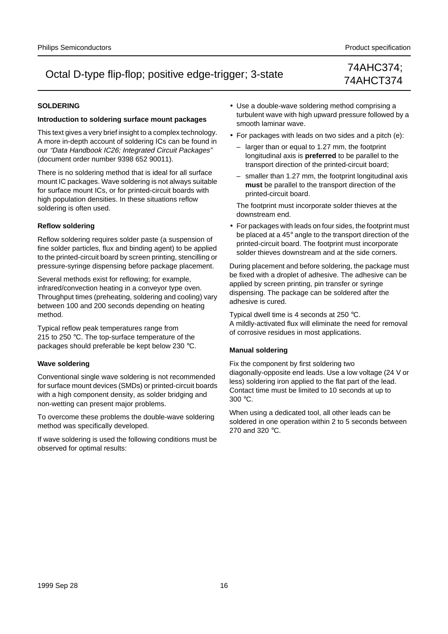74AHCT374

### **SOLDERING**

#### **Introduction to soldering surface mount packages**

This text gives a very brief insight to a complex technology. A more in-depth account of soldering ICs can be found in our "Data Handbook IC26; Integrated Circuit Packages" (document order number 9398 652 90011).

There is no soldering method that is ideal for all surface mount IC packages. Wave soldering is not always suitable for surface mount ICs, or for printed-circuit boards with high population densities. In these situations reflow soldering is often used.

### **Reflow soldering**

Reflow soldering requires solder paste (a suspension of fine solder particles, flux and binding agent) to be applied to the printed-circuit board by screen printing, stencilling or pressure-syringe dispensing before package placement.

Several methods exist for reflowing; for example, infrared/convection heating in a conveyor type oven. Throughput times (preheating, soldering and cooling) vary between 100 and 200 seconds depending on heating method.

Typical reflow peak temperatures range from 215 to 250 °C. The top-surface temperature of the packages should preferable be kept below 230 °C.

### **Wave soldering**

Conventional single wave soldering is not recommended for surface mount devices (SMDs) or printed-circuit boards with a high component density, as solder bridging and non-wetting can present major problems.

To overcome these problems the double-wave soldering method was specifically developed.

If wave soldering is used the following conditions must be observed for optimal results:

- Use a double-wave soldering method comprising a turbulent wave with high upward pressure followed by a smooth laminar wave.
- For packages with leads on two sides and a pitch (e):
	- larger than or equal to 1.27 mm, the footprint longitudinal axis is **preferred** to be parallel to the transport direction of the printed-circuit board;
	- smaller than 1.27 mm, the footprint longitudinal axis **must** be parallel to the transport direction of the printed-circuit board.

The footprint must incorporate solder thieves at the downstream end.

• For packages with leads on four sides, the footprint must be placed at a 45° angle to the transport direction of the printed-circuit board. The footprint must incorporate solder thieves downstream and at the side corners.

During placement and before soldering, the package must be fixed with a droplet of adhesive. The adhesive can be applied by screen printing, pin transfer or syringe dispensing. The package can be soldered after the adhesive is cured.

Typical dwell time is 4 seconds at 250 °C. A mildly-activated flux will eliminate the need for removal of corrosive residues in most applications.

### **Manual soldering**

Fix the component by first soldering two diagonally-opposite end leads. Use a low voltage (24 V or less) soldering iron applied to the flat part of the lead. Contact time must be limited to 10 seconds at up to 300 °C.

When using a dedicated tool, all other leads can be soldered in one operation within 2 to 5 seconds between 270 and 320 °C.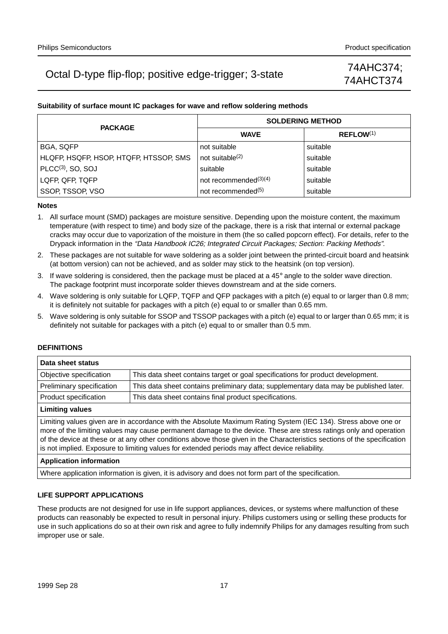## 74AHCT374

### **Suitability of surface mount IC packages for wave and reflow soldering methods**

| <b>PACKAGE</b>                         | <b>SOLDERING METHOD</b>        |                       |  |  |  |  |  |
|----------------------------------------|--------------------------------|-----------------------|--|--|--|--|--|
|                                        | <b>WAVE</b>                    | REFLOW <sup>(1)</sup> |  |  |  |  |  |
| <b>BGA, SQFP</b>                       | not suitable                   | suitable              |  |  |  |  |  |
| HLQFP, HSQFP, HSOP, HTQFP, HTSSOP, SMS | not suitable $(2)$             | suitable              |  |  |  |  |  |
| $PLCC(3)$ , SO, SOJ                    | suitable                       | suitable              |  |  |  |  |  |
| LQFP, QFP, TQFP                        | not recommended $(3)(4)$       | suitable              |  |  |  |  |  |
| SSOP, TSSOP, VSO                       | not recommended <sup>(5)</sup> | suitable              |  |  |  |  |  |

#### **Notes**

- 1. All surface mount (SMD) packages are moisture sensitive. Depending upon the moisture content, the maximum temperature (with respect to time) and body size of the package, there is a risk that internal or external package cracks may occur due to vaporization of the moisture in them (the so called popcorn effect). For details, refer to the Drypack information in the "Data Handbook IC26; Integrated Circuit Packages; Section: Packing Methods".
- 2. These packages are not suitable for wave soldering as a solder joint between the printed-circuit board and heatsink (at bottom version) can not be achieved, and as solder may stick to the heatsink (on top version).
- 3. If wave soldering is considered, then the package must be placed at a  $45^\circ$  angle to the solder wave direction. The package footprint must incorporate solder thieves downstream and at the side corners.
- 4. Wave soldering is only suitable for LQFP, TQFP and QFP packages with a pitch (e) equal to or larger than 0.8 mm; it is definitely not suitable for packages with a pitch (e) equal to or smaller than 0.65 mm.
- 5. Wave soldering is only suitable for SSOP and TSSOP packages with a pitch (e) equal to or larger than 0.65 mm; it is definitely not suitable for packages with a pitch (e) equal to or smaller than 0.5 mm.

### **DEFINITIONS**

| Data sheet status         |                                                                                                                |
|---------------------------|----------------------------------------------------------------------------------------------------------------|
| Objective specification   | This data sheet contains target or goal specifications for product development.                                |
| Preliminary specification | This data sheet contains preliminary data; supplementary data may be published later.                          |
| Product specification     | This data sheet contains final product specifications.                                                         |
| <b>Limiting values</b>    |                                                                                                                |
|                           | Limiting values given are in accordance with the Absolute Maximum Rating System (IEC 134). Stress above one or |

more of the limiting values may cause permanent damage to the device. These are stress ratings only and operation of the device at these or at any other conditions above those given in the Characteristics sections of the specification is not implied. Exposure to limiting values for extended periods may affect device reliability.

#### **Application information**

Where application information is given, it is advisory and does not form part of the specification.

### **LIFE SUPPORT APPLICATIONS**

These products are not designed for use in life support appliances, devices, or systems where malfunction of these products can reasonably be expected to result in personal injury. Philips customers using or selling these products for use in such applications do so at their own risk and agree to fully indemnify Philips for any damages resulting from such improper use or sale.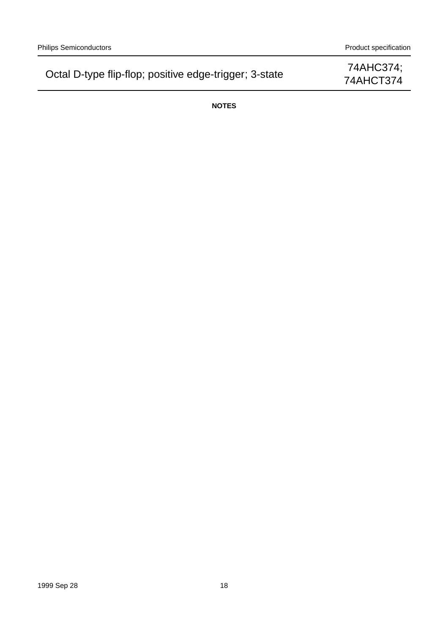74AHCT374

**NOTES**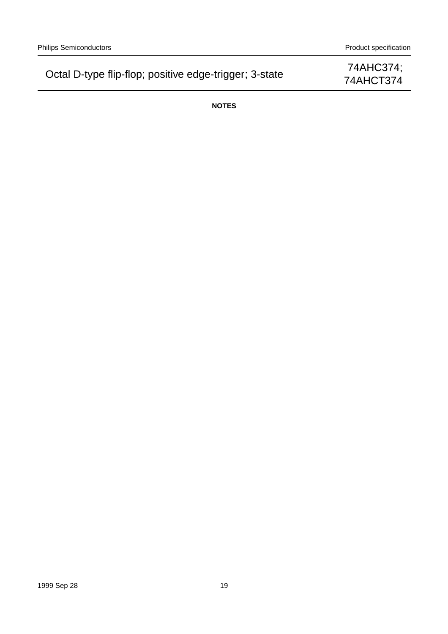74AHCT374

**NOTES**